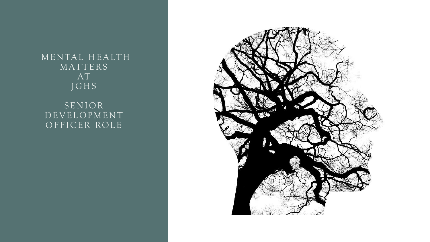#### MENTAL HEALTH **MATTERS** AT J G H S

**SENIOR** D E V E L O P M E N T OFFICER ROLE

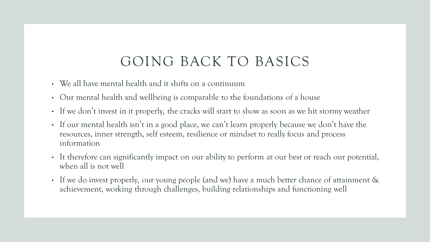### GOING BACK TO BASICS

- We all have mental health and it shifts on a continuum
- Our mental health and wellbeing is comparable to the foundations of a house
- If we don't invest in it properly, the cracks will start to show as soon as we hit stormy weather
- If our mental health isn't in a good place, we can't learn properly because we don't have the resources, inner strength, self esteem, resilience or mindset to really focus and process information
- It therefore can significantly impact on our ability to perform at our best or reach our potential, when all is not well
- If we do invest properly, our young people (and we) have a much better chance of attainment & achievement, working through challenges, building relationships and functioning well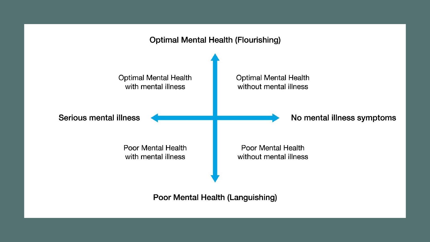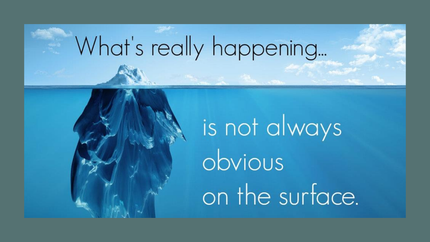## What's really happening...

# is not always obvious on the surface.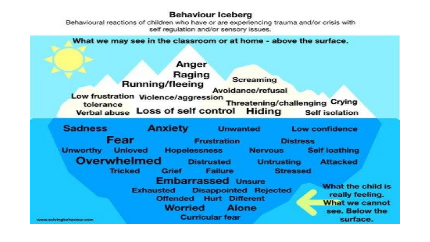#### **Behaviour Iceberg**

Behavioural reactions of children who have or are experiencing trauma and/or crisis with self regulation and/or sensory issues.

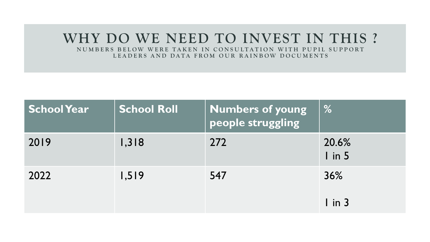### **WHY DO WE NEED TO INVEST IN THIS ?**

N U M B E R S B E LOW WERE TAKEN IN CONSULTATION WITH PUPIL SUPPORT L E A D E R S AND DATA FROM OUR RAINBOW DOCUMENTS

| <b>School Year</b> | <b>School Roll</b> | <b>Numbers of young</b><br>people struggling | $\frac{9}{6}$    |
|--------------------|--------------------|----------------------------------------------|------------------|
| 2019               | 1,318              | 272                                          | 20.6%<br>$\ln 5$ |
| 2022               | 1,519              | 547                                          | 36%<br>$\ln 3$   |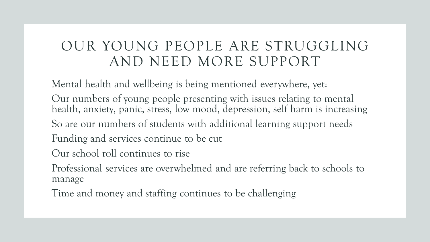### OUR YOUNG PEOPLE ARE STRUGGLING AND NEED MORE SUPPORT

Mental health and wellbeing is being mentioned everywhere, yet:

Our numbers of young people presenting with issues relating to mental health, anxiety, panic, stress, low mood, depression, self harm is increasing

So are our numbers of students with additional learning support needs

Funding and services continue to be cut

Our school roll continues to rise

Professional services are overwhelmed and are referring back to schools to manage

Time and money and staffing continues to be challenging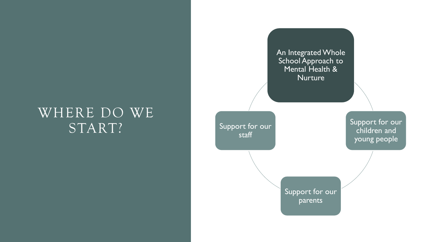### WHERE DO WE START?

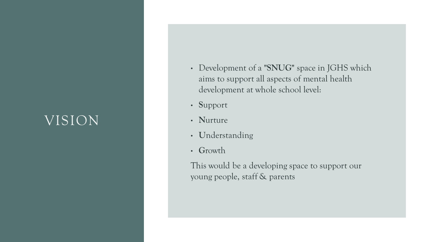### VISION

- Development of a **"SNUG"** space in JGHS which aims to support all aspects of mental health development at whole school level:
- **S**upport
- **N**urture
- **U**nderstanding
- **G**rowth

This would be a developing space to support our young people, staff & parents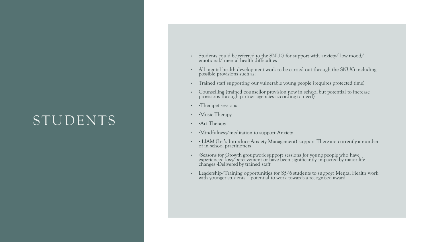### STUDENTS

- Students could be referred to the SNUG for support with anxiety/ low mood/ emotional/ mental health difficulties
- All mental health development work to be carried out through the SNUG including possible provisions such as:
- Trained staff supporting our vulnerable young people (requires protected time)
- Counselling (trained counsellor provision now in school but potential to increase provisions through partner agencies according to need)
- • Therapet sessions
- • Music Therapy
- • Art Therapy
- • Mindfulness/meditation to support Anxiety
- • LIAM (Let's Introduce Anxiety Management) support There are currently a number of in school practitioners
- • Seasons for Growth groupwork support sessions for young people who have experienced loss/bereavement or have been significantly impacted by major life changes -Delivered by trained staff
- Leadership/Training opportunities for S5/6 students to support Mental Health work with younger students – potential to work towards a recognised award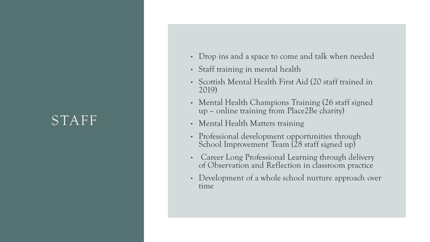### STAFF

- Drop ins and a space to come and talk when needed
- Staff training in mental health
- Scottish Mental Health First Aid (20 staff trained in 2019)
- Mental Health Champions Training (26 staff signed up – online training from Place2Be charity)
- Mental Health Matters training
- Professional development opportunities through School Improvement Team (28 staff signed up)
- Career Long Professional Learning through delivery of Observation and Reflection in classroom practice
- Development of a whole school nurture approach over time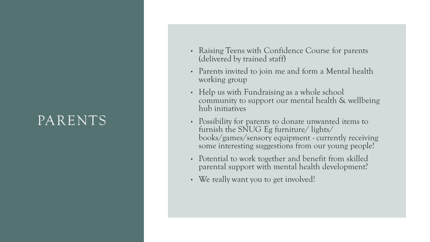### PARENTS

- Raising Teens with Confidence Course for parents (delivered by trained staff)
- Parents invited to join me and form a Mental health working group
- Help us with Fundraising as a whole school community to support our mental health & wellbeing hub initiatives
- Possibility for parents to donate unwanted items to furnish the SNUG Eg furniture/ lights/ books/games/sensory equipment - currently receiving some interesting suggestions from our young people!
- Potential to work together and benefit from skilled parental support with mental health development?
- We really want you to get involved!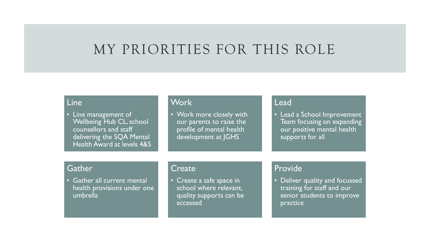### MY PRIORITIES FOR THIS ROLE

#### Line

• Line management of Wellbeing Hub CL, school counsellors and staff delivering the SQA Mental Health Award at levels 4&5

#### **Work**

• Work more closely with our parents to raise the profile of mental health development at JGHS

#### Lead

• Lead a School Improvement Team focusing on expanding our positive mental health supports for all

#### **Gather**

• Gather all current mental health provisions under one umbrella

#### **Create**

• Create a safe space in school where relevant, quality supports can be accessed

#### Provide

• Deliver quality and focussed training for staff and our senior students to improve practice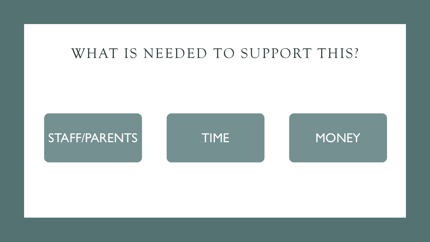### WHAT IS NEEDED TO SUPPORT THIS?





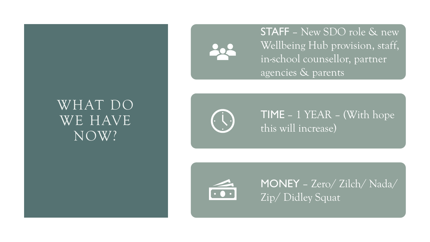### WHAT DO WE HAVE NOW?



STAFF – New SDO role & new Wellbeing Hub provision, staff, in-school counsellor, partner agencies & parents



TIME – 1 YEAR – (With hope this will increase)



MONEY – Zero/ Zilch/ Nada/ Zip/ Didley Squat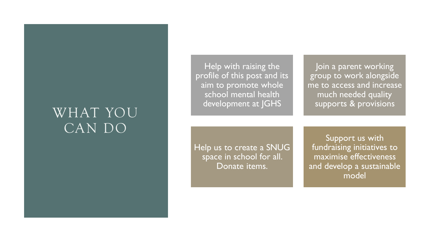### WHAT YOU CAN DO

Help with raising the profile of this post and its aim to promote whole school mental health development at JGHS

Join a parent working group to work alongside me to access and increase much needed quality supports & provisions

Help us to create a SNUG space in school for all. Donate items.

Support us with fundraising initiatives to maximise effectiveness and develop a sustainable model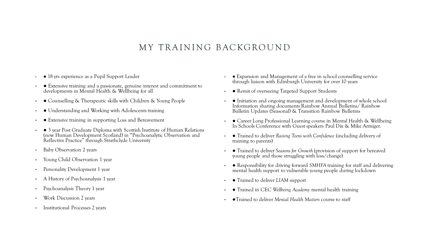#### MY TRAINING BACKGROUND

- 18 yrs experience as a Pupil Support Leader
- ● Extensive training and a passionate, genuine interest and commitment to developments in Mental Health & Wellbeing for all
- Counselling & Therapeutic skills with Children & Young People
- Understanding and Working with Adolescents training
- Extensive training in supporting Loss and Bereavement
- ● 3 year Post Graduate Diploma with Scottish Institute of Human Relations (now Human Development Scotland) in "Psychoanalytic Observation and Reflective Practice" through Strathclyde University
- Baby Observation 2 years
- Young Child Observation 1 year
- Personality Development 1 year
- A History of Psychoanalysis 1 year
- Psychoanalysis Theory 1 year
- Work Discussion 2 years
- Institutional Processes 2 years
- ● Expansion and Management of a free in school counselling service through liaison with Edinburgh University for over 10 years
- ● Remit of overseeing Targeted Support Students
- Initiation and ongoing management and development of whole school Information sharing documents Rainbow Annual Bulletins/ Rainbow Bulletin Updates (Seasonal) & Transition Rainbow Bulletins
- Career Long Professional Learning course in Mental Health & Wellbeing In Schools Conference with Guest speakers Paul Dix & Mike Armiger.
- ● Trained to deliver *Raising Teens with Confidence* (including delivery of training to parents)
- ● Trained to deliver *Seasons for Growth* (provision of support for bereaved young people and those struggling with loss/change)
- ● Responsibility for driving forward *SMHFA* training for staff and delivering mental health support to vulnerable young people during lockdown
- ● Trained to deliver *LIAM* support
- ● Trained in CEC *Wellbeing Academy* mental health training
- ●Trained to deliver *Mental Health Matters* course to staff